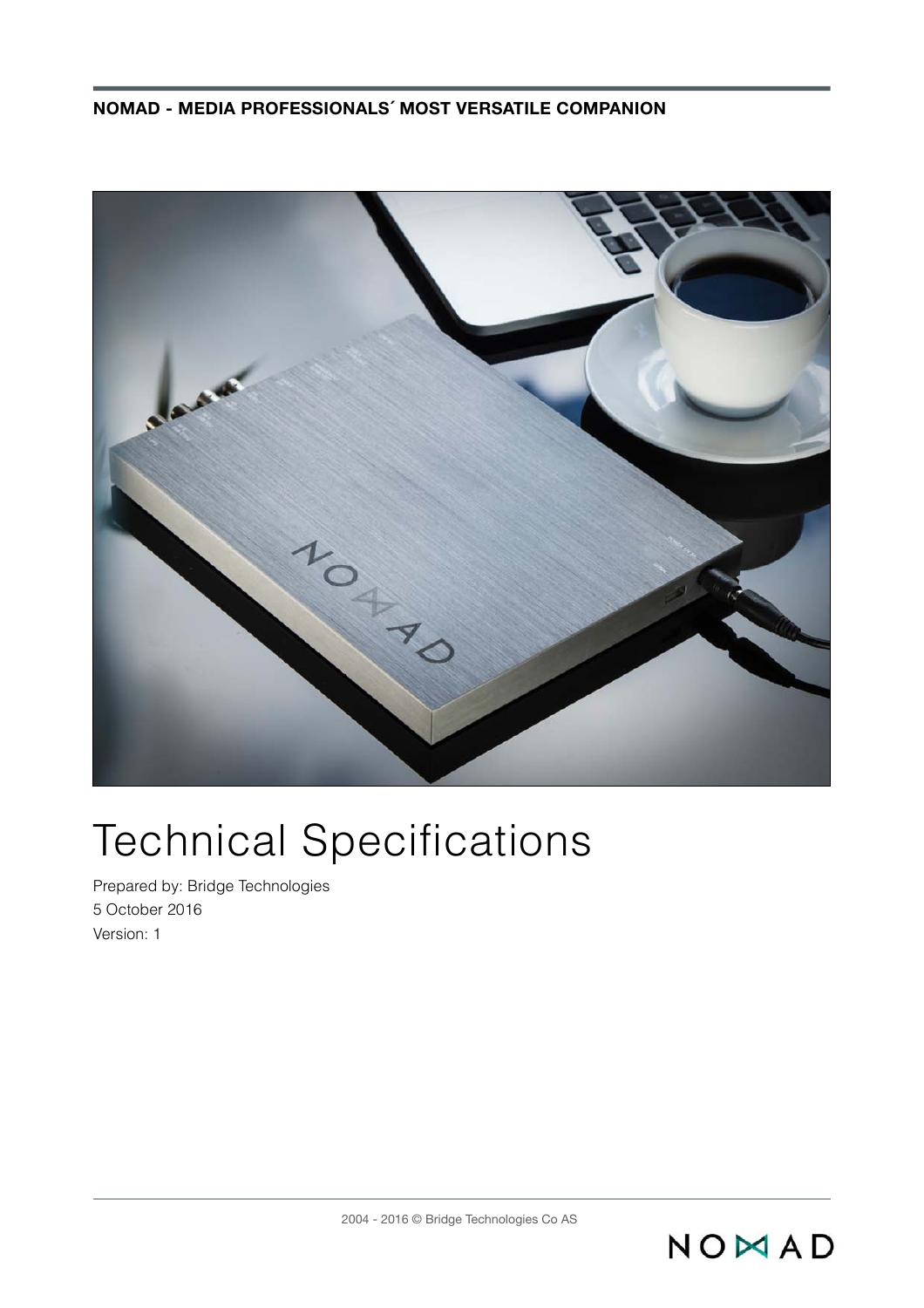

# Technical Specifications

Prepared by: Bridge Technologies 5 October 2016 Version: 1

NOMAD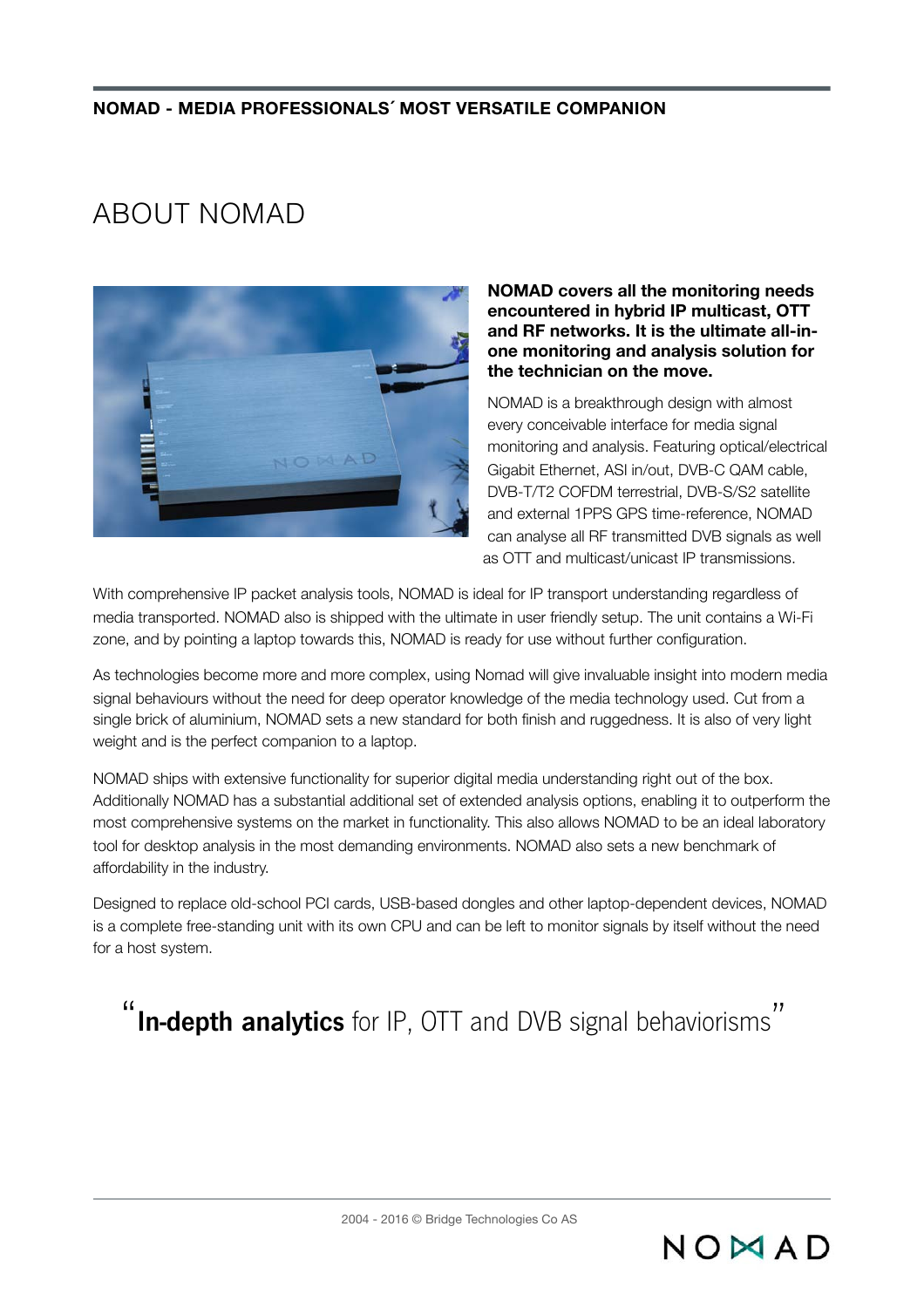## ABOUT NOMAD



#### **NOMAD covers all the monitoring needs encountered in hybrid IP multicast, OTT and RF networks. It is the ultimate all-inone monitoring and analysis solution for the technician on the move.**

NOMAD is a breakthrough design with almost every conceivable interface for media signal monitoring and analysis. Featuring optical/electrical Gigabit Ethernet, ASI in/out, DVB-C QAM cable, DVB-T/T2 COFDM terrestrial, DVB-S/S2 satellite and external 1PPS GPS time-reference, NOMAD can analyse all RF transmitted DVB signals as well as OTT and multicast/unicast IP transmissions.

 $NONAD$ 

With comprehensive IP packet analysis tools, NOMAD is ideal for IP transport understanding regardless of media transported. NOMAD also is shipped with the ultimate in user friendly setup. The unit contains a Wi-Fi zone, and by pointing a laptop towards this, NOMAD is ready for use without further configuration.

As technologies become more and more complex, using Nomad will give invaluable insight into modern media signal behaviours without the need for deep operator knowledge of the media technology used. Cut from a single brick of aluminium, NOMAD sets a new standard for both finish and ruggedness. It is also of very light weight and is the perfect companion to a laptop.

NOMAD ships with extensive functionality for superior digital media understanding right out of the box. Additionally NOMAD has a substantial additional set of extended analysis options, enabling it to outperform the most comprehensive systems on the market in functionality. This also allows NOMAD to be an ideal laboratory tool for desktop analysis in the most demanding environments. NOMAD also sets a new benchmark of affordability in the industry.

Designed to replace old-school PCI cards, USB-based dongles and other laptop-dependent devices, NOMAD is a complete free-standing unit with its own CPU and can be left to monitor signals by itself without the need for a host system.

" **In-depth analytics** for IP, OTT and DVB signal behaviorisms"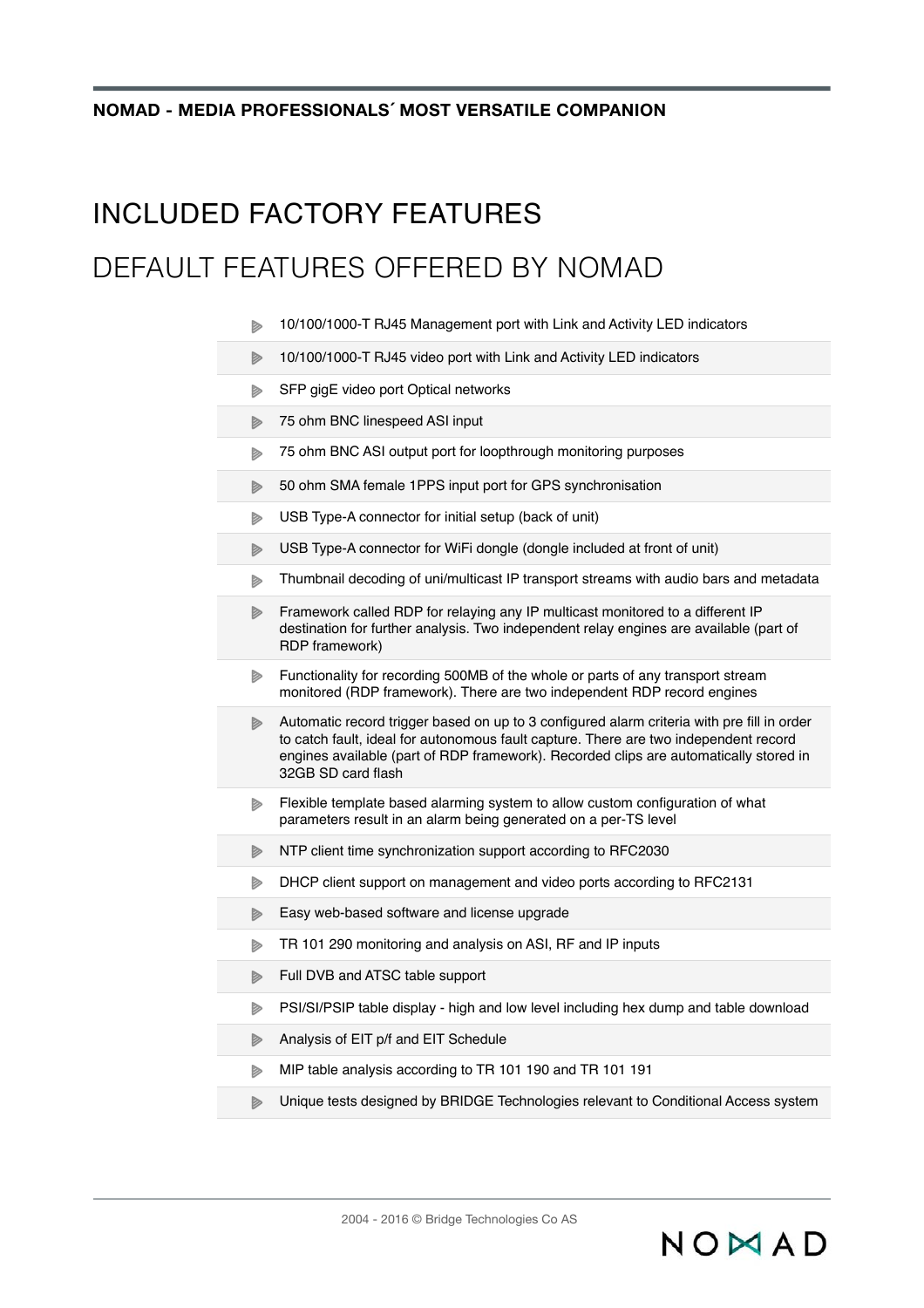### INCLUDED FACTORY FEATURES

### DEFAULT FEATURES OFFERED BY NOMAD

- 10/100/1000-T RJ45 Management port with Link and Activity LED indicators Þ
- 10/100/1000-T RJ45 video port with Link and Activity LED indicators Þ
- SFP gigE video port Optical networks d
- 75 ohm BNC linespeed ASI input
- 75 ohm BNC ASI output port for loopthrough monitoring purposes  $\triangleright$
- 50 ohm SMA female 1PPS input port for GPS synchronisation  $\triangleright$
- USB Type-A connector for initial setup (back of unit)  $\triangleright$
- $\triangleright$ USB Type-A connector for WiFi dongle (dongle included at front of unit)
- Thumbnail decoding of uni/multicast IP transport streams with audio bars and metadata Þ
- $\triangleright$ Framework called RDP for relaying any IP multicast monitored to a different IP destination for further analysis. Two independent relay engines are available (part of RDP framework)
- $\triangleright$ Functionality for recording 500MB of the whole or parts of any transport stream monitored (RDP framework). There are two independent RDP record engines
- Automatic record trigger based on up to 3 configured alarm criteria with pre fill in order to catch fault, ideal for autonomous fault capture. There are two independent record engines available (part of RDP framework). Recorded clips are automatically stored in 32GB SD card flash
- $\triangleright$ Flexible template based alarming system to allow custom configuration of what parameters result in an alarm being generated on a per-TS level
- NTP client time synchronization support according to RFC2030 D
- DHCP client support on management and video ports according to RFC2131  $\triangleright$
- Easy web-based software and license upgrade D
- TR 101 290 monitoring and analysis on ASI, RF and IP inputs Þ
- Full DVB and ATSC table support  $\triangleright$
- $\triangleright$ PSI/SI/PSIP table display - high and low level including hex dump and table download
- $\triangleright$ Analysis of EIT p/f and EIT Schedule
- MIP table analysis according to TR 101 190 and TR 101 191  $\triangleright$
- Unique tests designed by BRIDGE Technologies relevant to Conditional Access system  $\triangleright$

NOMAD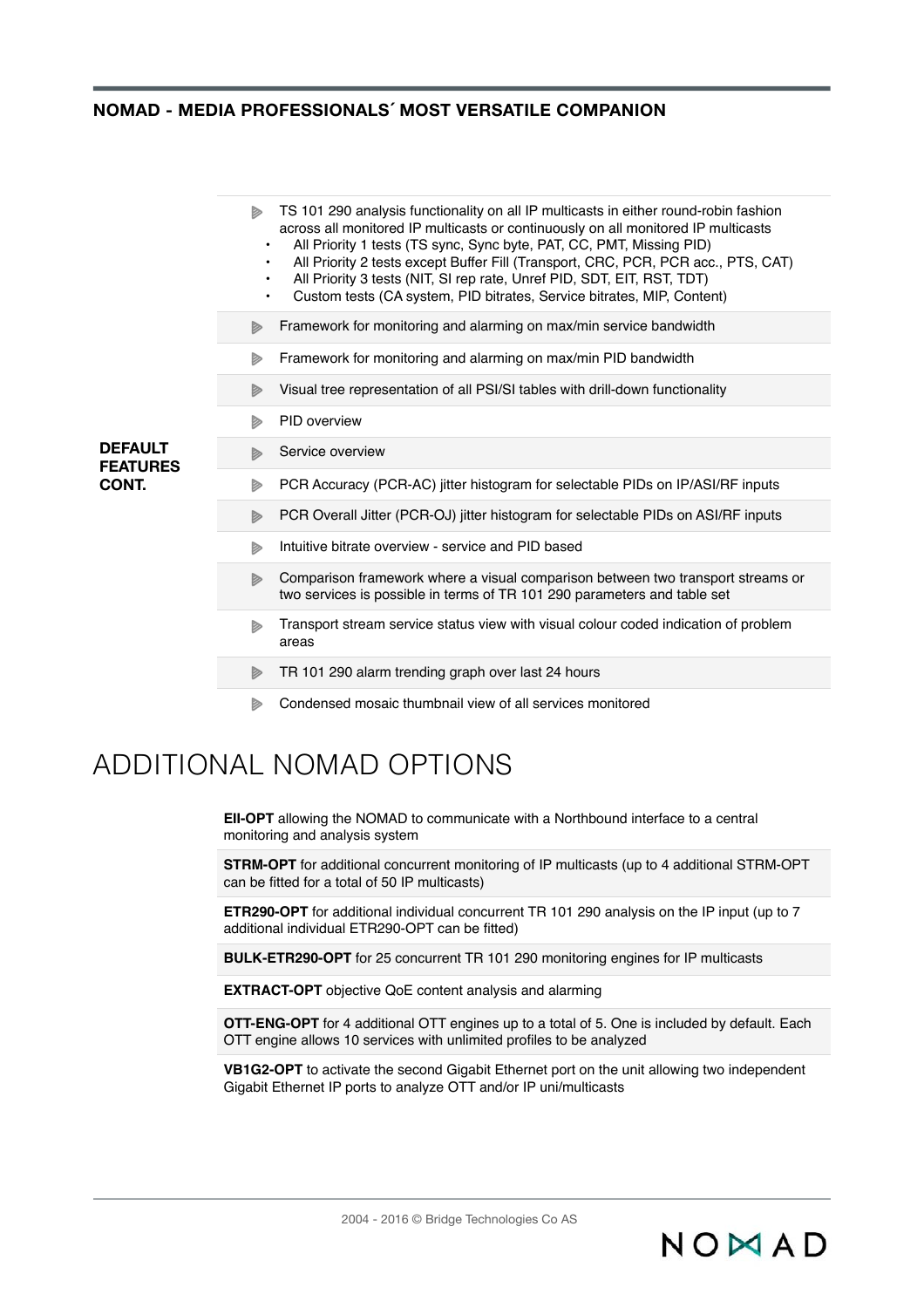|                                            | TS 101 290 analysis functionality on all IP multicasts in either round-robin fashion<br>D<br>across all monitored IP multicasts or continuously on all monitored IP multicasts<br>All Priority 1 tests (TS sync, Sync byte, PAT, CC, PMT, Missing PID)<br>$\bullet$<br>All Priority 2 tests except Buffer Fill (Transport, CRC, PCR, PCR acc., PTS, CAT)<br>$\bullet$<br>All Priority 3 tests (NIT, SI rep rate, Unref PID, SDT, EIT, RST, TDT)<br>$\bullet$<br>Custom tests (CA system, PID bitrates, Service bitrates, MIP, Content)<br>$\bullet$ |
|--------------------------------------------|-----------------------------------------------------------------------------------------------------------------------------------------------------------------------------------------------------------------------------------------------------------------------------------------------------------------------------------------------------------------------------------------------------------------------------------------------------------------------------------------------------------------------------------------------------|
|                                            | Framework for monitoring and alarming on max/min service bandwidth<br>D                                                                                                                                                                                                                                                                                                                                                                                                                                                                             |
|                                            | Framework for monitoring and alarming on max/min PID bandwidth<br>D                                                                                                                                                                                                                                                                                                                                                                                                                                                                                 |
|                                            | Visual tree representation of all PSI/SI tables with drill-down functionality<br>D                                                                                                                                                                                                                                                                                                                                                                                                                                                                  |
|                                            | PID overview<br>D                                                                                                                                                                                                                                                                                                                                                                                                                                                                                                                                   |
| <b>DEFAULT</b><br><b>FEATURES</b><br>CONT. | Service overview<br>D                                                                                                                                                                                                                                                                                                                                                                                                                                                                                                                               |
|                                            | PCR Accuracy (PCR-AC) jitter histogram for selectable PIDs on IP/ASI/RF inputs<br>D                                                                                                                                                                                                                                                                                                                                                                                                                                                                 |
|                                            | PCR Overall Jitter (PCR-OJ) jitter histogram for selectable PIDs on ASI/RF inputs<br>D                                                                                                                                                                                                                                                                                                                                                                                                                                                              |
|                                            | Intuitive bitrate overview - service and PID based<br>D                                                                                                                                                                                                                                                                                                                                                                                                                                                                                             |
|                                            | Comparison framework where a visual comparison between two transport streams or<br>D<br>two services is possible in terms of TR 101 290 parameters and table set                                                                                                                                                                                                                                                                                                                                                                                    |
|                                            | Transport stream service status view with visual colour coded indication of problem<br>D<br>areas                                                                                                                                                                                                                                                                                                                                                                                                                                                   |
|                                            | TR 101 290 alarm trending graph over last 24 hours<br>D                                                                                                                                                                                                                                                                                                                                                                                                                                                                                             |
|                                            | Condensed mosaic thumbnail view of all services monitored<br>Þ                                                                                                                                                                                                                                                                                                                                                                                                                                                                                      |

### ADDITIONAL NOMAD OPTIONS

**EII-OPT** allowing the NOMAD to communicate with a Northbound interface to a central monitoring and analysis system

**STRM-OPT** for additional concurrent monitoring of IP multicasts (up to 4 additional STRM-OPT can be fitted for a total of 50 IP multicasts)

**ETR290-OPT** for additional individual concurrent TR 101 290 analysis on the IP input (up to 7 additional individual ETR290-OPT can be fitted)

**BULK-ETR290-OPT** for 25 concurrent TR 101 290 monitoring engines for IP multicasts

**EXTRACT-OPT** objective QoE content analysis and alarming

**OTT-ENG-OPT** for 4 additional OTT engines up to a total of 5. One is included by default. Each OTT engine allows 10 services with unlimited profiles to be analyzed

**VB1G2-OPT** to activate the second Gigabit Ethernet port on the unit allowing two independent Gigabit Ethernet IP ports to analyze OTT and/or IP uni/multicasts

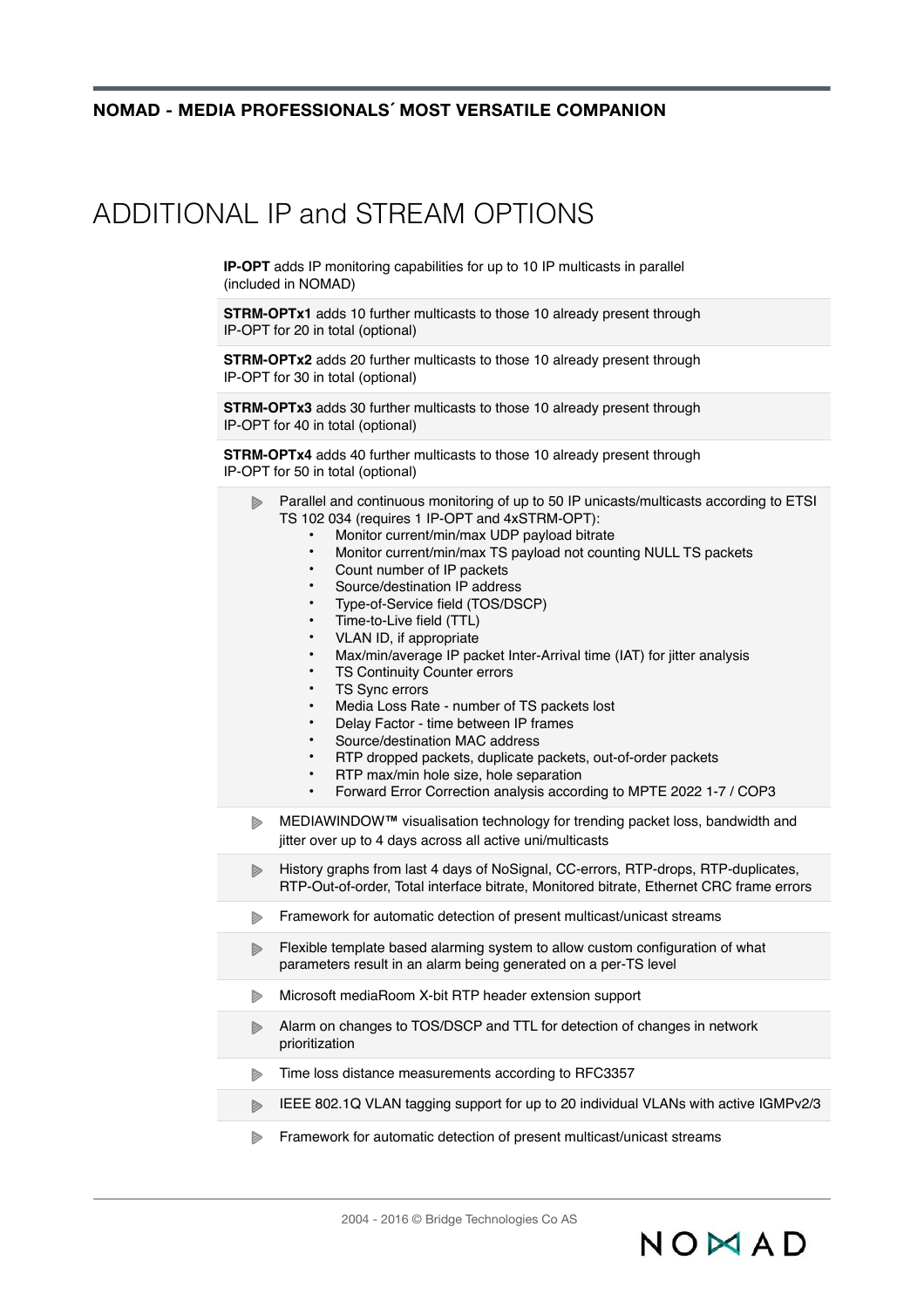### ADDITIONAL IP and STREAM OPTIONS

**IP-OPT** adds IP monitoring capabilities for up to 10 IP multicasts in parallel (included in NOMAD)

**STRM-OPTx1** adds 10 further multicasts to those 10 already present through IP-OPT for 20 in total (optional)

**STRM-OPTx2** adds 20 further multicasts to those 10 already present through IP-OPT for 30 in total (optional)

**STRM-OPTx3** adds 30 further multicasts to those 10 already present through IP-OPT for 40 in total (optional)

**STRM-OPTx4** adds 40 further multicasts to those 10 already present through IP-OPT for 50 in total (optional)

- Parallel and continuous monitoring of up to 50 IP unicasts/multicasts according to ETSI  $\triangleright$ TS 102 034 (requires 1 IP-OPT and 4xSTRM-OPT):
	- Monitor current/min/max UDP payload bitrate
	- Monitor current/min/max TS payload not counting NULL TS packets
	- Count number of IP packets
	- Source/destination IP address
	- Type-of-Service field (TOS/DSCP)
	- Time-to-Live field (TTL)
	- VLAN ID, if appropriate
	- Max/min/average IP packet Inter-Arrival time (IAT) for jitter analysis
	- **TS Continuity Counter errors**
	- **TS Sync errors**
	- Media Loss Rate number of TS packets lost
	- Delay Factor time between IP frames
	- Source/destination MAC address
	- RTP dropped packets, duplicate packets, out-of-order packets
	- RTP max/min hole size, hole separation
	- Forward Error Correction analysis according to MPTE 2022 1-7 / COP3
- MEDIAWINDOW**™** visualisation technology for trending packet loss, bandwidth and  $\triangleright$ jitter over up to 4 days across all active uni/multicasts
- History graphs from last 4 days of NoSignal, CC-errors, RTP-drops, RTP-duplicates,  $\triangleright$ RTP-Out-of-order, Total interface bitrate, Monitored bitrate, Ethernet CRC frame errors
- Framework for automatic detection of present multicast/unicast streams d
- Flexible template based alarming system to allow custom configuration of what d parameters result in an alarm being generated on a per-TS level
- Microsoft mediaRoom X-bit RTP header extension support
- $\triangleright$ Alarm on changes to TOS/DSCP and TTL for detection of changes in network prioritization
- Time loss distance measurements according to RFC3357  $\triangleright$
- IEEE 802.1Q VLAN tagging support for up to 20 individual VLANs with active IGMPv2/3  $\triangleright$
- d Framework for automatic detection of present multicast/unicast streams